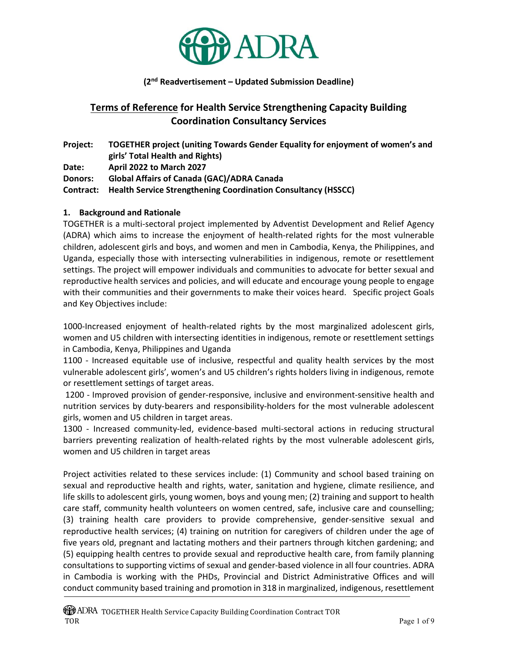

#### (2nd Readvertisement – Updated Submission Deadline)

# Terms of Reference for Health Service Strengthening Capacity Building Coordination Consultancy Services

Project: TOGETHER project (uniting Towards Gender Equality for enjoyment of women's and girls' Total Health and Rights) Date: April 2022 to March 2027 Donors: Global Affairs of Canada (GAC)/ADRA Canada Contract: Health Service Strengthening Coordination Consultancy (HSSCC)

#### 1. Background and Rationale

TOGETHER is a multi-sectoral project implemented by Adventist Development and Relief Agency (ADRA) which aims to increase the enjoyment of health-related rights for the most vulnerable children, adolescent girls and boys, and women and men in Cambodia, Kenya, the Philippines, and Uganda, especially those with intersecting vulnerabilities in indigenous, remote or resettlement settings. The project will empower individuals and communities to advocate for better sexual and reproductive health services and policies, and will educate and encourage young people to engage with their communities and their governments to make their voices heard. Specific project Goals and Key Objectives include:

1000-Increased enjoyment of health-related rights by the most marginalized adolescent girls, women and U5 children with intersecting identities in indigenous, remote or resettlement settings in Cambodia, Kenya, Philippines and Uganda

1100 - Increased equitable use of inclusive, respectful and quality health services by the most vulnerable adolescent girls', women's and U5 children's rights holders living in indigenous, remote or resettlement settings of target areas.

 1200 - Improved provision of gender-responsive, inclusive and environment-sensitive health and nutrition services by duty-bearers and responsibility-holders for the most vulnerable adolescent girls, women and U5 children in target areas.

1300 - Increased community-led, evidence-based multi-sectoral actions in reducing structural barriers preventing realization of health-related rights by the most vulnerable adolescent girls, women and U5 children in target areas

Project activities related to these services include: (1) Community and school based training on sexual and reproductive health and rights, water, sanitation and hygiene, climate resilience, and life skills to adolescent girls, young women, boys and young men; (2) training and support to health care staff, community health volunteers on women centred, safe, inclusive care and counselling; (3) training health care providers to provide comprehensive, gender-sensitive sexual and reproductive health services; (4) training on nutrition for caregivers of children under the age of five years old, pregnant and lactating mothers and their partners through kitchen gardening; and (5) equipping health centres to provide sexual and reproductive health care, from family planning consultations to supporting victims of sexual and gender-based violence in all four countries. ADRA in Cambodia is working with the PHDs, Provincial and District Administrative Offices and will conduct community based training and promotion in 318 in marginalized, indigenous, resettlement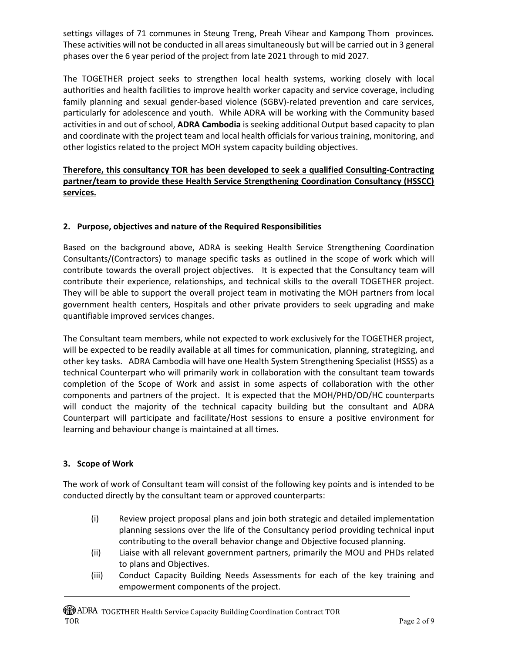settings villages of 71 communes in Steung Treng, Preah Vihear and Kampong Thom provinces. These activities will not be conducted in all areas simultaneously but will be carried out in 3 general phases over the 6 year period of the project from late 2021 through to mid 2027.

The TOGETHER project seeks to strengthen local health systems, working closely with local authorities and health facilities to improve health worker capacity and service coverage, including family planning and sexual gender-based violence (SGBV)-related prevention and care services, particularly for adolescence and youth. While ADRA will be working with the Community based activities in and out of school, ADRA Cambodia is seeking additional Output based capacity to plan and coordinate with the project team and local health officials for various training, monitoring, and other logistics related to the project MOH system capacity building objectives.

## Therefore, this consultancy TOR has been developed to seek a qualified Consulting-Contracting partner/team to provide these Health Service Strengthening Coordination Consultancy (HSSCC) services.

## 2. Purpose, objectives and nature of the Required Responsibilities

Based on the background above, ADRA is seeking Health Service Strengthening Coordination Consultants/(Contractors) to manage specific tasks as outlined in the scope of work which will contribute towards the overall project objectives. It is expected that the Consultancy team will contribute their experience, relationships, and technical skills to the overall TOGETHER project. They will be able to support the overall project team in motivating the MOH partners from local government health centers, Hospitals and other private providers to seek upgrading and make quantifiable improved services changes.

The Consultant team members, while not expected to work exclusively for the TOGETHER project, will be expected to be readily available at all times for communication, planning, strategizing, and other key tasks. ADRA Cambodia will have one Health System Strengthening Specialist (HSSS) as a technical Counterpart who will primarily work in collaboration with the consultant team towards completion of the Scope of Work and assist in some aspects of collaboration with the other components and partners of the project. It is expected that the MOH/PHD/OD/HC counterparts will conduct the majority of the technical capacity building but the consultant and ADRA Counterpart will participate and facilitate/Host sessions to ensure a positive environment for learning and behaviour change is maintained at all times.

#### 3. Scope of Work

The work of work of Consultant team will consist of the following key points and is intended to be conducted directly by the consultant team or approved counterparts:

- (i) Review project proposal plans and join both strategic and detailed implementation planning sessions over the life of the Consultancy period providing technical input contributing to the overall behavior change and Objective focused planning.
- (ii) Liaise with all relevant government partners, primarily the MOU and PHDs related to plans and Objectives.
- (iii) Conduct Capacity Building Needs Assessments for each of the key training and empowerment components of the project.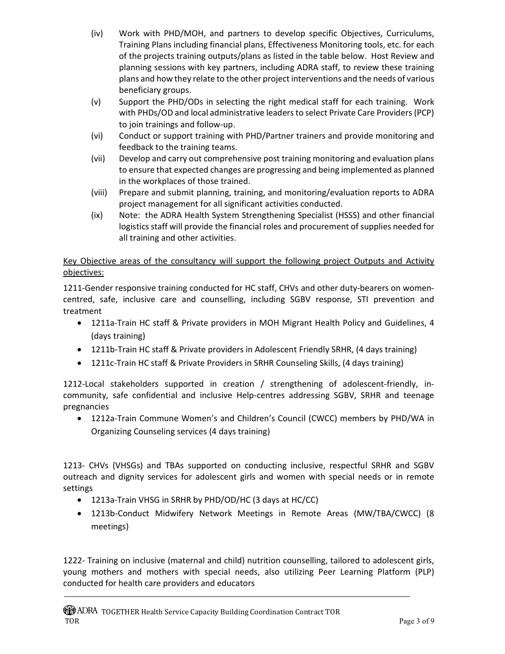- (iv) Work with PHD/MOH, and partners to develop specific Objectives, Curriculums, Training Plans including financial plans, Effectiveness Monitoring tools, etc. for each of the projects training outputs/plans as listed in the table below. Host Review and planning sessions with key partners, including ADRA staff, to review these training plans and how they relate to the other project interventions and the needs of various beneficiary groups.
- (v) Support the PHD/ODs in selecting the right medical staff for each training. Work with PHDs/OD and local administrative leaders to select Private Care Providers (PCP) to join trainings and follow-up.
- (vi) Conduct or support training with PHD/Partner trainers and provide monitoring and feedback to the training teams.
- (vii) Develop and carry out comprehensive post training monitoring and evaluation plans to ensure that expected changes are progressing and being implemented as planned in the workplaces of those trained.
- (viii) Prepare and submit planning, training, and monitoring/evaluation reports to ADRA project management for all significant activities conducted.
- (ix) Note: the ADRA Health System Strengthening Specialist (HSSS) and other financial logistics staff will provide the financial roles and procurement of supplies needed for all training and other activities.

## Key Objective areas of the consultancy will support the following project Outputs and Activity objectives:

1211-Gender responsive training conducted for HC staff, CHVs and other duty-bearers on womencentred, safe, inclusive care and counselling, including SGBV response, STI prevention and treatment

- 1211a-Train HC staff & Private providers in MOH Migrant Health Policy and Guidelines, 4 (days training)
- 1211b-Train HC staff & Private providers in Adolescent Friendly SRHR, (4 days training)
- 1211c-Train HC staff & Private Providers in SRHR Counseling Skills, (4 days training)

1212-Local stakeholders supported in creation / strengthening of adolescent-friendly, incommunity, safe confidential and inclusive Help-centres addressing SGBV, SRHR and teenage pregnancies

 1212a-Train Commune Women's and Children's Council (CWCC) members by PHD/WA in Organizing Counseling services (4 days training)

1213- CHVs (VHSGs) and TBAs supported on conducting inclusive, respectful SRHR and SGBV outreach and dignity services for adolescent girls and women with special needs or in remote settings

- 1213a-Train VHSG in SRHR by PHD/OD/HC (3 days at HC/CC)
- 1213b-Conduct Midwifery Network Meetings in Remote Areas (MW/TBA/CWCC) (8 meetings)

1222- Training on inclusive (maternal and child) nutrition counselling, tailored to adolescent girls, young mothers and mothers with special needs, also utilizing Peer Learning Platform (PLP) conducted for health care providers and educators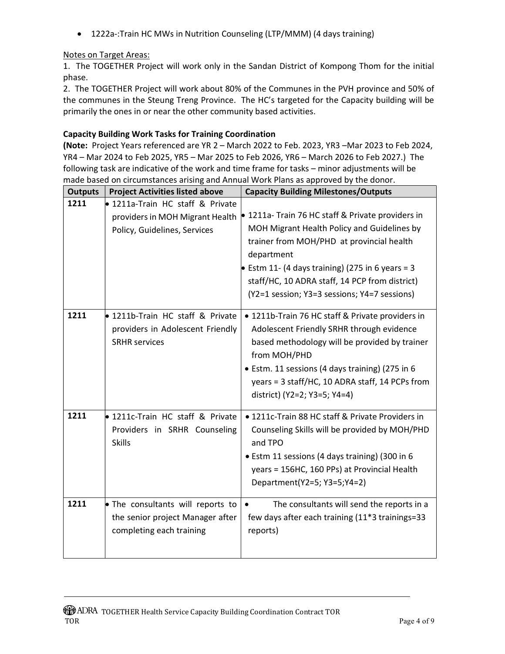• 1222a-:Train HC MWs in Nutrition Counseling (LTP/MMM) (4 days training)

## Notes on Target Areas:

1. The TOGETHER Project will work only in the Sandan District of Kompong Thom for the initial phase.

2. The TOGETHER Project will work about 80% of the Communes in the PVH province and 50% of the communes in the Steung Treng Province. The HC's targeted for the Capacity building will be primarily the ones in or near the other community based activities.

#### Capacity Building Work Tasks for Training Coordination

(Note: Project Years referenced are YR 2 – March 2022 to Feb. 2023, YR3 –Mar 2023 to Feb 2024, YR4 – Mar 2024 to Feb 2025, YR5 – Mar 2025 to Feb 2026, YR6 – March 2026 to Feb 2027.) The following task are indicative of the work and time frame for tasks – minor adjustments will be made based on circumstances arising and Annual Work Plans as approved by the donor.

| <b>Outputs</b> | <b>Project Activities listed above</b>                                                              | <b>Capacity Building Milestones/Outputs</b>                                                                                                                                                                                                                                                                     |
|----------------|-----------------------------------------------------------------------------------------------------|-----------------------------------------------------------------------------------------------------------------------------------------------------------------------------------------------------------------------------------------------------------------------------------------------------------------|
| 1211           | • 1211a-Train HC staff & Private<br>providers in MOH Migrant Health<br>Policy, Guidelines, Services | • 1211a- Train 76 HC staff & Private providers in<br>MOH Migrant Health Policy and Guidelines by<br>trainer from MOH/PHD at provincial health<br>department<br>Estm 11- (4 days training) (275 in 6 years = 3<br>staff/HC, 10 ADRA staff, 14 PCP from district)<br>(Y2=1 session; Y3=3 sessions; Y4=7 sessions) |
| 1211           | 1211b-Train HC staff & Private<br>providers in Adolescent Friendly<br><b>SRHR services</b>          | • 1211b-Train 76 HC staff & Private providers in<br>Adolescent Friendly SRHR through evidence<br>based methodology will be provided by trainer<br>from MOH/PHD<br>• Estm. 11 sessions (4 days training) (275 in 6<br>years = 3 staff/HC, 10 ADRA staff, 14 PCPs from<br>district) (Y2=2; Y3=5; Y4=4)            |
| 1211           | <b>.</b> 1211c-Train HC staff & Private<br>Providers in SRHR Counseling<br><b>Skills</b>            | • 1211c-Train 88 HC staff & Private Providers in<br>Counseling Skills will be provided by MOH/PHD<br>and TPO<br>• Estm 11 sessions (4 days training) (300 in 6<br>years = 156HC, 160 PPs) at Provincial Health<br>Department(Y2=5; Y3=5;Y4=2)                                                                   |
| 1211           | • The consultants will reports to<br>the senior project Manager after<br>completing each training   | The consultants will send the reports in a<br>$\bullet$<br>few days after each training (11*3 trainings=33<br>reports)                                                                                                                                                                                          |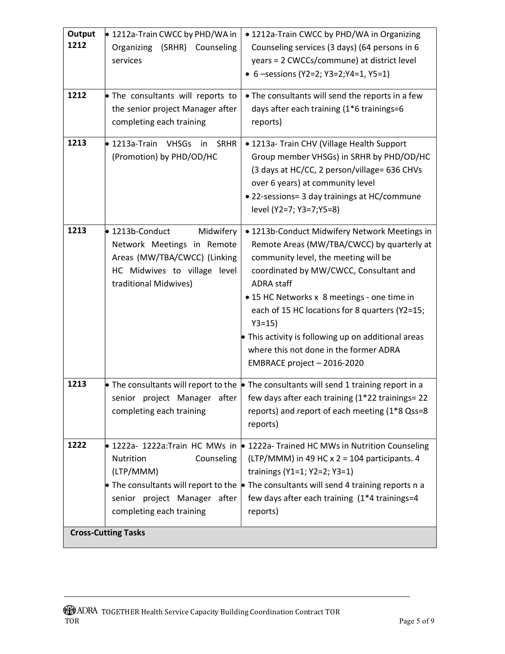| Output<br>1212             | ● 1212a-Train CWCC by PHD/WA in<br>Organizing<br>(SRHR)<br>Counseling<br>services                                                                   | • 1212a-Train CWCC by PHD/WA in Organizing<br>Counseling services (3 days) (64 persons in 6<br>years = 2 CWCCs/commune) at district level<br>• 6 - sessions (Y2=2; Y3=2; Y4=1, Y5=1)                                                                                                                                                                                                                                                             |
|----------------------------|-----------------------------------------------------------------------------------------------------------------------------------------------------|--------------------------------------------------------------------------------------------------------------------------------------------------------------------------------------------------------------------------------------------------------------------------------------------------------------------------------------------------------------------------------------------------------------------------------------------------|
| 1212                       | • The consultants will reports to<br>the senior project Manager after<br>completing each training                                                   | . The consultants will send the reports in a few<br>days after each training (1*6 trainings=6<br>reports)                                                                                                                                                                                                                                                                                                                                        |
| 1213                       | $\bullet$ 1213a-Train<br><b>VHSGs</b><br><b>SRHR</b><br>in<br>(Promotion) by PHD/OD/HC                                                              | • 1213a- Train CHV (Village Health Support<br>Group member VHSGs) in SRHR by PHD/OD/HC<br>(3 days at HC/CC, 2 person/village= 636 CHVs<br>over 6 years) at community level<br>• 22-sessions= 3 day trainings at HC/commune<br>level (Y2=7; Y3=7;Y5=8)                                                                                                                                                                                            |
| 1213                       | ● 1213b-Conduct<br>Midwifery<br>Network Meetings in Remote<br>Areas (MW/TBA/CWCC) (Linking<br>HC Midwives to village level<br>traditional Midwives) | • 1213b-Conduct Midwifery Network Meetings in<br>Remote Areas (MW/TBA/CWCC) by quarterly at<br>community level, the meeting will be<br>coordinated by MW/CWCC, Consultant and<br><b>ADRA staff</b><br>• 15 HC Networks x 8 meetings - one time in<br>each of 15 HC locations for 8 quarters (Y2=15;<br>$Y3 = 15$<br>• This activity is following up on additional areas<br>where this not done in the former ADRA<br>EMBRACE project - 2016-2020 |
| 1213                       | completing each training                                                                                                                            | • The consultants will report to the $\bullet$ The consultants will send 1 training report in a<br>senior project Manager after   few days after each training $(1^*22 \text{ trainings} = 22$<br>reports) and report of each meeting (1*8 Qss=8<br>reports)                                                                                                                                                                                     |
| 1222                       | Counseling<br>Nutrition<br>(LTP/MMM)<br>senior project Manager after<br>completing each training                                                    | • 1222a- 1222a:Train HC MWs in • 1222a-Trained HC MWs in Nutrition Counseling<br>(LTP/MMM) in 49 HC $x$ 2 = 104 participants. 4<br>trainings (Y1=1; Y2=2; Y3=1)<br>• The consultants will report to the $\bullet$ The consultants will send 4 training reports n a<br>few days after each training (1*4 trainings=4<br>reports)                                                                                                                  |
| <b>Cross-Cutting Tasks</b> |                                                                                                                                                     |                                                                                                                                                                                                                                                                                                                                                                                                                                                  |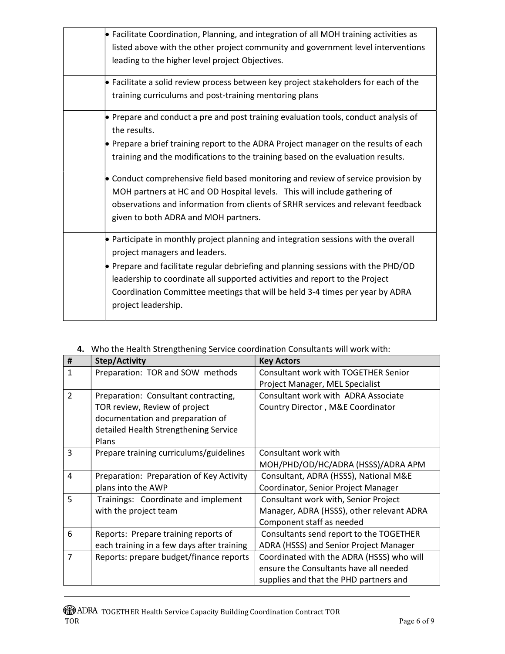| $\bullet$ Facilitate Coordination, Planning, and integration of all MOH training activities as<br>listed above with the other project community and government level interventions<br>leading to the higher level project Objectives.                                                                                                                                                           |
|-------------------------------------------------------------------------------------------------------------------------------------------------------------------------------------------------------------------------------------------------------------------------------------------------------------------------------------------------------------------------------------------------|
| • Facilitate a solid review process between key project stakeholders for each of the<br>training curriculums and post-training mentoring plans                                                                                                                                                                                                                                                  |
| $\bullet$ Prepare and conduct a pre and post training evaluation tools, conduct analysis of<br>the results.<br>$\bullet$ Prepare a brief training report to the ADRA Project manager on the results of each<br>training and the modifications to the training based on the evaluation results.                                                                                                  |
| • Conduct comprehensive field based monitoring and review of service provision by<br>MOH partners at HC and OD Hospital levels. This will include gathering of<br>observations and information from clients of SRHR services and relevant feedback<br>given to both ADRA and MOH partners.                                                                                                      |
| • Participate in monthly project planning and integration sessions with the overall<br>project managers and leaders.<br>• Prepare and facilitate regular debriefing and planning sessions with the PHD/OD<br>leadership to coordinate all supported activities and report to the Project<br>Coordination Committee meetings that will be held 3-4 times per year by ADRA<br>project leadership. |

| #              | Step/Activity                              | <b>Key Actors</b>                         |
|----------------|--------------------------------------------|-------------------------------------------|
| 1              | Preparation: TOR and SOW methods           | Consultant work with TOGETHER Senior      |
|                |                                            | Project Manager, MEL Specialist           |
| $\overline{2}$ | Preparation: Consultant contracting,       | Consultant work with ADRA Associate       |
|                | TOR review, Review of project              | Country Director, M&E Coordinator         |
|                | documentation and preparation of           |                                           |
|                | detailed Health Strengthening Service      |                                           |
|                | <b>Plans</b>                               |                                           |
| 3              | Prepare training curriculums/guidelines    | Consultant work with                      |
|                |                                            | MOH/PHD/OD/HC/ADRA (HSSS)/ADRA APM        |
| 4              | Preparation: Preparation of Key Activity   | Consultant, ADRA (HSSS), National M&E     |
|                | plans into the AWP                         | Coordinator, Senior Project Manager       |
| 5              | Trainings: Coordinate and implement        | Consultant work with, Senior Project      |
|                | with the project team                      | Manager, ADRA (HSSS), other relevant ADRA |
|                |                                            | Component staff as needed                 |
| 6              | Reports: Prepare training reports of       | Consultants send report to the TOGETHER   |
|                | each training in a few days after training | ADRA (HSSS) and Senior Project Manager    |
| 7              | Reports: prepare budget/finance reports    | Coordinated with the ADRA (HSSS) who will |
|                |                                            | ensure the Consultants have all needed    |
|                |                                            | supplies and that the PHD partners and    |

## 4. Who the Health Strengthening Service coordination Consultants will work with: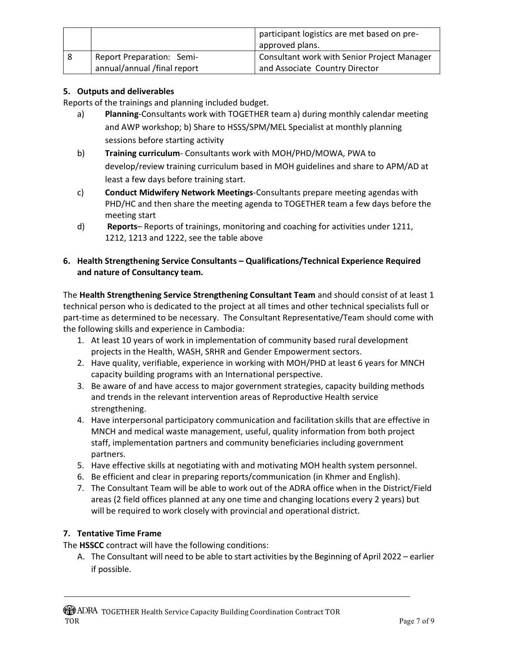|   |                            | participant logistics are met based on pre-<br>approved plans. |
|---|----------------------------|----------------------------------------------------------------|
| 8 | Report Preparation: Semi-  | Consultant work with Senior Project Manager                    |
|   | annual/annual/final report | and Associate Country Director                                 |

## 5. Outputs and deliverables

Reports of the trainings and planning included budget.

- a) Planning-Consultants work with TOGETHER team a) during monthly calendar meeting and AWP workshop; b) Share to HSSS/SPM/MEL Specialist at monthly planning sessions before starting activity
- b) Training curriculum- Consultants work with MOH/PHD/MOWA, PWA to develop/review training curriculum based in MOH guidelines and share to APM/AD at least a few days before training start.
- c) Conduct Midwifery Network Meetings-Consultants prepare meeting agendas with PHD/HC and then share the meeting agenda to TOGETHER team a few days before the meeting start
- d) Reports– Reports of trainings, monitoring and coaching for activities under 1211, 1212, 1213 and 1222, see the table above

### 6. Health Strengthening Service Consultants – Qualifications/Technical Experience Required and nature of Consultancy team.

The Health Strengthening Service Strengthening Consultant Team and should consist of at least 1 technical person who is dedicated to the project at all times and other technical specialists full or part-time as determined to be necessary. The Consultant Representative/Team should come with the following skills and experience in Cambodia:

- 1. At least 10 years of work in implementation of community based rural development projects in the Health, WASH, SRHR and Gender Empowerment sectors.
- 2. Have quality, verifiable, experience in working with MOH/PHD at least 6 years for MNCH capacity building programs with an International perspective.
- 3. Be aware of and have access to major government strategies, capacity building methods and trends in the relevant intervention areas of Reproductive Health service strengthening.
- 4. Have interpersonal participatory communication and facilitation skills that are effective in MNCH and medical waste management, useful, quality information from both project staff, implementation partners and community beneficiaries including government partners.
- 5. Have effective skills at negotiating with and motivating MOH health system personnel.
- 6. Be efficient and clear in preparing reports/communication (in Khmer and English).
- 7. The Consultant Team will be able to work out of the ADRA office when in the District/Field areas (2 field offices planned at any one time and changing locations every 2 years) but will be required to work closely with provincial and operational district.

## 7. Tentative Time Frame

The HSSCC contract will have the following conditions:

A. The Consultant will need to be able to start activities by the Beginning of April 2022 – earlier if possible.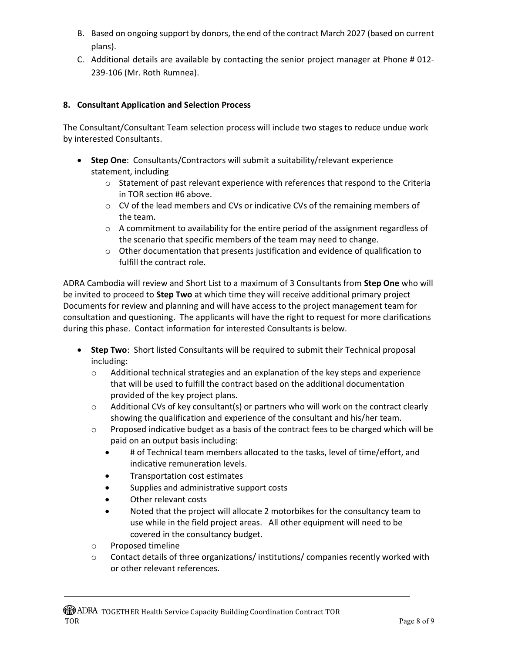- B. Based on ongoing support by donors, the end of the contract March 2027 (based on current plans).
- C. Additional details are available by contacting the senior project manager at Phone # 012- 239-106 (Mr. Roth Rumnea).

## 8. Consultant Application and Selection Process

The Consultant/Consultant Team selection process will include two stages to reduce undue work by interested Consultants.

- Step One: Consultants/Contractors will submit a suitability/relevant experience statement, including
	- $\circ$  Statement of past relevant experience with references that respond to the Criteria in TOR section #6 above.
	- o CV of the lead members and CVs or indicative CVs of the remaining members of the team.
	- $\circ$  A commitment to availability for the entire period of the assignment regardless of the scenario that specific members of the team may need to change.
	- $\circ$  Other documentation that presents justification and evidence of qualification to fulfill the contract role.

ADRA Cambodia will review and Short List to a maximum of 3 Consultants from Step One who will be invited to proceed to **Step Two** at which time they will receive additional primary project Documents for review and planning and will have access to the project management team for consultation and questioning. The applicants will have the right to request for more clarifications during this phase. Contact information for interested Consultants is below.

- Step Two: Short listed Consultants will be required to submit their Technical proposal including:
	- $\circ$  Additional technical strategies and an explanation of the key steps and experience that will be used to fulfill the contract based on the additional documentation provided of the key project plans.
	- $\circ$  Additional CVs of key consultant(s) or partners who will work on the contract clearly showing the qualification and experience of the consultant and his/her team.
	- $\circ$  Proposed indicative budget as a basis of the contract fees to be charged which will be paid on an output basis including:
		- # of Technical team members allocated to the tasks, level of time/effort, and indicative remuneration levels.
		- Transportation cost estimates
		- Supplies and administrative support costs
		- Other relevant costs
		- Noted that the project will allocate 2 motorbikes for the consultancy team to use while in the field project areas. All other equipment will need to be covered in the consultancy budget.
	- o Proposed timeline
	- $\circ$  Contact details of three organizations/ institutions/ companies recently worked with or other relevant references.